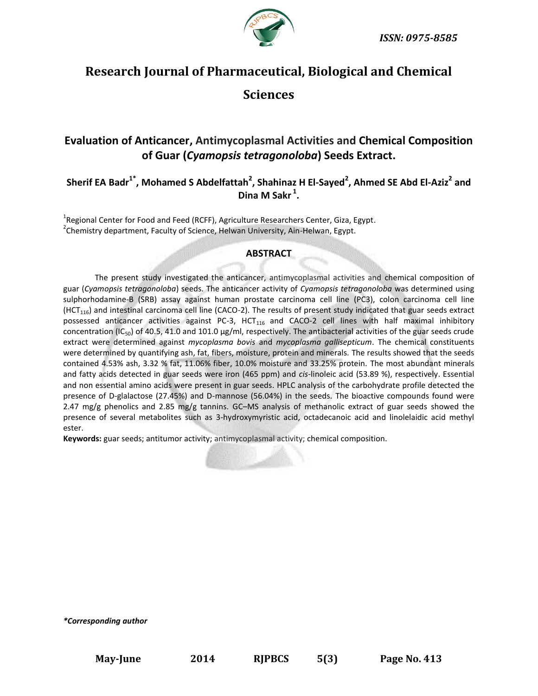

# **Research Journal of Pharmaceutical, Biological and Chemical Sciences**

## **Evaluation of Anticancer, Antimycoplasmal Activities and Chemical Composition of Guar (***Cyamopsis tetragonoloba***) Seeds Extract.**

**Sherif EA Badr1\* , Mohamed S Abdelfattah<sup>2</sup> , Shahinaz H El-Sayed<sup>2</sup> , Ahmed SE Abd El-Aziz<sup>2</sup> and Dina M Sakr <sup>1</sup> .**

<sup>1</sup>Regional Center for Food and Feed (RCFF), Agriculture Researchers Center, Giza, Egypt. <sup>2</sup>Chemistry department, Faculty of Science, Helwan University, Ain-Helwan, Egypt.

#### **ABSTRACT**

The present study investigated the anticancer, antimycoplasmal activities and chemical composition of guar (*Cyamopsis tetragonoloba*) seeds. The anticancer activity of *Cyamopsis tetragonoloba* was determined using sulphorhodamine-B (SRB) assay against human prostate carcinoma cell line (PC3), colon carcinoma cell line  $(HCT<sub>116</sub>)$  and intestinal carcinoma cell line (CACO-2). The results of present study indicated that guar seeds extract possessed anticancer activities against PC-3, HCT<sub>116</sub> and CACO-2 cell lines with half maximal inhibitory concentration (IC<sub>50</sub>) of 40.5, 41.0 and 101.0 μg/ml, respectively. The antibacterial activities of the guar seeds crude extract were determined against *mycoplasma bovis* and *mycoplasma gallisepticum*. The chemical constituents were determined by quantifying ash, fat, fibers, moisture, protein and minerals. The results showed that the seeds contained 4.53% ash, 3.32 % fat, 11.06% fiber, 10.0% moisture and 33.25% protein. The most abundant minerals and fatty acids detected in guar seeds were iron (465 ppm) and *cis*-linoleic acid (53.89 %), respectively. Essential and non essential amino acids were present in guar seeds. HPLC analysis of the carbohydrate profile detected the presence of D-glalactose (27.45%) and D-mannose (56.04%) in the seeds. The bioactive compounds found were 2.47 mg/g phenolics and 2.85 mg/g tannins. GC-MS analysis of methanolic extract of guar seeds showed the presence of several metabolites such as 3-hydroxymyristic acid, octadecanoic acid and linolelaidic acid methyl ester.

**Keywords:** guar seeds; antitumor activity; antimycoplasmal activity; chemical composition.

*\*Corresponding author*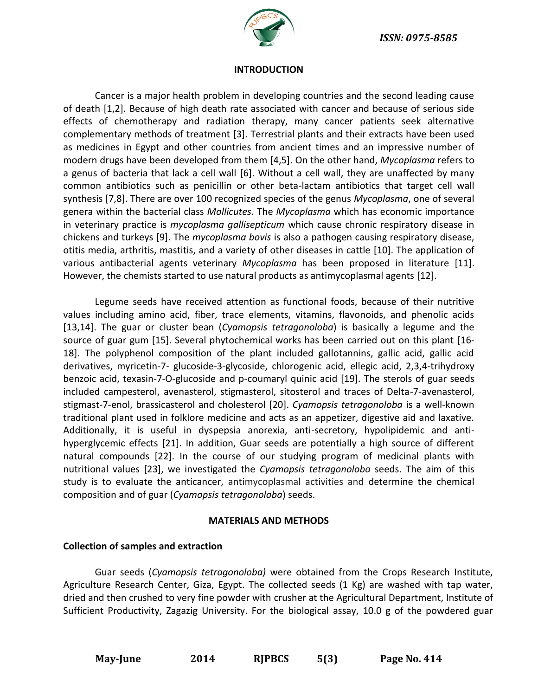

#### **INTRODUCTION**

Cancer is a major health problem in developing countries and the second leading cause of death [1,2]. Because of high death rate associated with cancer and because of serious side effects of chemotherapy and radiation therapy, many cancer patients seek alternative complementary methods of treatment [3]. Terrestrial plants and their extracts have been used as medicines in Egypt and other countries from ancient times and an impressive number of modern drugs have been developed from them [4,5]. On the other hand, *Mycoplasma* refers to a genus of bacteria that lack a cell wall [6]. Without a cell wall, they are unaffected by many common antibiotics such as penicillin or other beta-lactam antibiotics that target cell wall synthesis [7,8]. There are over 100 recognized species of the genus *Mycoplasma*, one of several genera within the bacterial class *Mollicutes*. The *Mycoplasma* which has economic importance in veterinary practice is *mycoplasma gallisepticum* which cause chronic respiratory disease in chickens and turkeys [9]. The *mycoplasma bovis* is also a pathogen causing respiratory disease, otitis media, arthritis, mastitis, and a variety of other diseases in cattle [10]. The application of various antibacterial agents veterinary *Mycoplasma* has been proposed in literature [11]. However, the chemists started to use natural products as antimycoplasmal agents [12].

Legume seeds have received attention as functional foods, because of their nutritive values including amino acid, fiber, trace elements, vitamins, flavonoids, and phenolic acids [13,14]. The guar or cluster bean (*Cyamopsis tetragonoloba*) is basically a legume and the source of guar gum [15]. Several phytochemical works has been carried out on this plant [16- 18]. The polyphenol composition of the plant included gallotannins, gallic acid, gallic acid derivatives, myricetin-7- glucoside-3-glycoside, chlorogenic acid, ellegic acid, 2,3,4-trihydroxy benzoic acid, texasin-7-O-glucoside and p-coumaryl quinic acid [19]. The sterols of guar seeds included campesterol, avenasterol, stigmasterol, sitosterol and traces of Delta-7-avenasterol, stigmast-7-enol, brassicasterol and cholesterol [20]. *Cyamopsis tetragonoloba* is a well-known traditional plant used in folklore medicine and acts as an appetizer, digestive aid and laxative. Additionally, it is useful in dyspepsia anorexia, anti-secretory, hypolipidemic and antihyperglycemic effects [21]. In addition, Guar seeds are potentially a high source of different natural compounds [22]. In the course of our studying program of medicinal plants with nutritional values [23], we investigated the *Cyamopsis tetragonoloba* seeds. The aim of this study is to evaluate the anticancer, antimycoplasmal activities and determine the chemical composition and of guar (*Cyamopsis tetragonoloba*) seeds.

#### **MATERIALS AND METHODS**

## **Collection of samples and extraction**

Guar seeds (*[Cyamopsis](http://zipcodezoo.com/Key/Plantae/Cyamopsis_Genus.asp) tetragonoloba)* were obtained from the Crops Research Institute, Agriculture Research Center, Giza, Egypt. The collected seeds (1 Kg) are washed with tap water, dried and then crushed to very fine powder with crusher at the Agricultural Department, Institute of Sufficient Productivity, Zagazig University. For the biological assay, 10.0 g of the powdered guar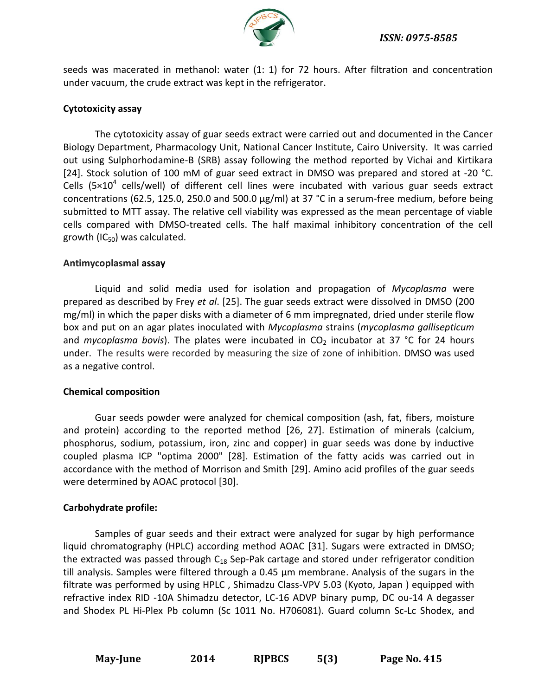

seeds was macerated in methanol: water (1: 1) for 72 hours. After filtration and concentration under vacuum, the crude extract was kept in the refrigerator.

## **Cytotoxicity assay**

The cytotoxicity assay of guar seeds extract were carried out and documented in the Cancer Biology Department, Pharmacology Unit, National Cancer Institute, Cairo University. It was carried out using Sulphorhodamine-B (SRB) assay following the method reported by Vichai and Kirtikara [24]. Stock solution of 100 mM of guar seed extract in DMSO was prepared and stored at -20 °C. Cells (5 $\times$ 10<sup>4</sup> cells/well) of different cell lines were incubated with various guar seeds extract concentrations (62.5, 125.0, 250.0 and 500.0 µg/ml) at 37 °C in a serum-free medium, before being submitted to MTT assay. The relative cell viability was expressed as the mean percentage of viable cells compared with DMSO-treated cells. The half maximal inhibitory concentration of the cell growth (IC $_{50}$ ) was calculated.

## **Antimycoplasmal assay**

Liquid and solid media used for isolation and propagation of *Mycoplasma* were prepared as described by Frey *et al*. [25]. The guar seeds extract were dissolved in DMSO (200 mg/ml) in which the paper disks with a diameter of 6 mm impregnated, dried under sterile flow box and put on an agar plates inoculated with *Mycoplasma* strains (*mycoplasma gallisepticum* and *mycoplasma bovis*). The plates were incubated in  $CO<sub>2</sub>$  incubator at 37 °C for 24 hours under. The results were recorded by measuring the size of zone of inhibition. DMSO was used as a negative control.

## **Chemical composition**

Guar seeds powder were analyzed for chemical composition (ash, fat, fibers, moisture and protein) according to the reported method [26, 27]. Estimation of minerals (calcium, phosphorus, sodium, potassium, iron, zinc and copper) in guar seeds was done by inductive coupled plasma ICP "optima 2000" [28]. Estimation of the fatty acids was carried out in accordance with the method of Morrison and Smith [29]. Amino acid profiles of the guar seeds were determined by AOAC protocol [30].

## **Carbohydrate profile:**

Samples of guar seeds and their extract were analyzed for sugar by high performance liquid chromatography (HPLC) according method AOAC [31]. Sugars were extracted in DMSO; the extracted was passed through  $C_{18}$  Sep-Pak cartage and stored under refrigerator condition till analysis. Samples were filtered through a 0.45 µm membrane. Analysis of the sugars in the filtrate was performed by using HPLC , Shimadzu Class-VPV 5.03 (Kyoto, Japan ) equipped with refractive index RID -10A Shimadzu detector, LC-16 ADVP binary pump, DC ou-14 A degasser and Shodex PL Hi-Plex Pb column (Sc 1011 No. H706081). Guard column Sc-Lc Shodex, and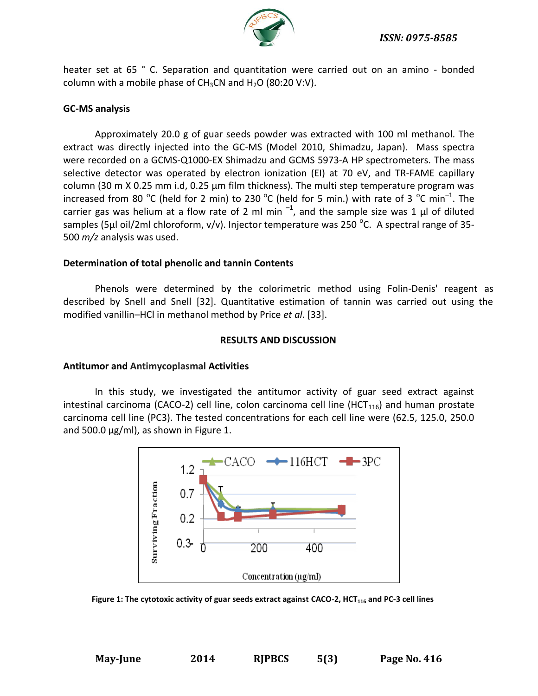

heater set at 65 ° C. Separation and quantitation were carried out on an amino - bonded column with a mobile phase of  $CH_3CN$  and  $H_2O$  (80:20 V:V).

## **GC-MS analysis**

Approximately 20.0 g of guar seeds powder was extracted with 100 ml methanol. The extract was directly injected into the GC-MS (Model 2010, Shimadzu, Japan). Mass spectra were recorded on a GCMS‐Q1000‐EX Shimadzu and GCMS 5973‐A HP spectrometers. The mass selective detector was operated by electron ionization (EI) at 70 eV, and TR-FAME capillary column (30 m X 0.25 mm i.d, 0.25 µm film thickness). The multi step temperature program was increased from 80  $^{\circ}$ C (held for 2 min) to 230  $^{\circ}$ C (held for 5 min.) with rate of 3  $^{\circ}$ C min<sup>-1</sup>. The carrier gas was helium at a flow rate of 2 ml min  $^{-1}$ , and the sample size was 1  $\mu$ l of diluted samples (5µl oil/2ml chloroform, v/v). Injector temperature was 250 <sup>o</sup>C. A spectral range of 35-500 *m/z* analysis was used.

## **Determination of total phenolic and tannin Contents**

Phenols were determined by the colorimetric method using Folin-Denis' reagent as described by Snell and Snell [32]. Quantitative estimation of tannin was carried out using the modified vanillin–HCl in methanol method by Price *et al*. [33].

### **RESULTS AND DISCUSSION**

## **Antitumor and Antimycoplasmal Activities**

In this study, we investigated the antitumor activity of guar seed extract against intestinal carcinoma (CACO-2) cell line, colon carcinoma cell line (HCT<sub>116</sub>) and human prostate carcinoma cell line (PC3). The tested concentrations for each cell line were (62.5, 125.0, 250.0 and 500.0  $\mu$ g/ml), as shown in Figure 1.



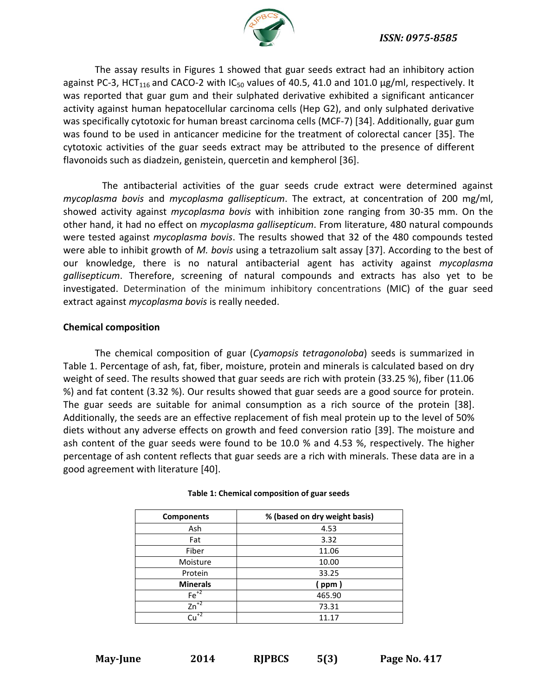

The assay results in Figures 1 showed that guar seeds extract had an inhibitory action against PC-3, HCT<sub>116</sub> and CACO-2 with IC<sub>50</sub> values of 40.5, 41.0 and 101.0  $\mu$ g/ml, respectively. It was reported that guar gum and their sulphated derivative exhibited a significant anticancer activity against human hepatocellular carcinoma cells (Hep G2), and only sulphated derivative was specifically cytotoxic for human breast carcinoma cells (MCF-7) [34]. Additionally, guar gum was found to be used in anticancer medicine for the treatment of colorectal cancer [35]. The cytotoxic activities of the guar seeds extract may be attributed to the presence of different flavonoids such as diadzein, genistein, quercetin and kempherol [36].

 The antibacterial activities of the guar seeds crude extract were determined against *mycoplasma bovis* and *mycoplasma gallisepticum*. The extract, at concentration of 200 mg/ml, showed activity against *mycoplasma bovis* with inhibition zone ranging from 30-35 mm. On the other hand, it had no effect on *mycoplasma gallisepticum*. From literature, 480 natural compounds were tested against *mycoplasma bovis*. The results showed that 32 of the 480 compounds tested were able to inhibit growth of *M. bovis* using a tetrazolium salt assay [37]. According to the best of our knowledge, there is no natural antibacterial agent has activity against *mycoplasma gallisepticum*. Therefore, screening of natural compounds and extracts has also yet to be investigated. Determination of the minimum inhibitory concentrations (MIC) of the guar seed extract against *mycoplasma bovis* is really needed.

## **Chemical composition**

The chemical composition of guar (*Cyamopsis tetragonoloba*) seeds is summarized in Table 1. Percentage of ash, fat, fiber, moisture, protein and minerals is calculated based on dry weight of seed. The results showed that guar seeds are rich with protein (33.25 %), fiber (11.06 %) and fat content (3.32 %). Our results showed that guar seeds are a good source for protein. The guar seeds are suitable for animal consumption as a rich source of the protein [38]. Additionally, the seeds are an effective replacement of fish meal protein up to the level of 50% diets without any adverse effects on growth and feed conversion ratio [39]. The moisture and ash content of the guar seeds were found to be 10.0 % and 4.53 %, respectively. The higher percentage of ash content reflects that guar seeds are a rich with minerals. These data are in a good agreement with literature [40].

| <b>Components</b>             | % (based on dry weight basis) |  |
|-------------------------------|-------------------------------|--|
| Ash                           | 4.53                          |  |
| Fat                           | 3.32                          |  |
| Fiber                         | 11.06                         |  |
| Moisture                      | 10.00                         |  |
| Protein                       | 33.25                         |  |
| <b>Minerals</b>               | ( ppm )                       |  |
| $Fe+2$                        | 465.90                        |  |
| $Zn^{2}$                      | 73.31                         |  |
| $\overline{\mathrm{Cu}^{+2}}$ | 11.17                         |  |

#### **Table 1: Chemical composition of guar seeds**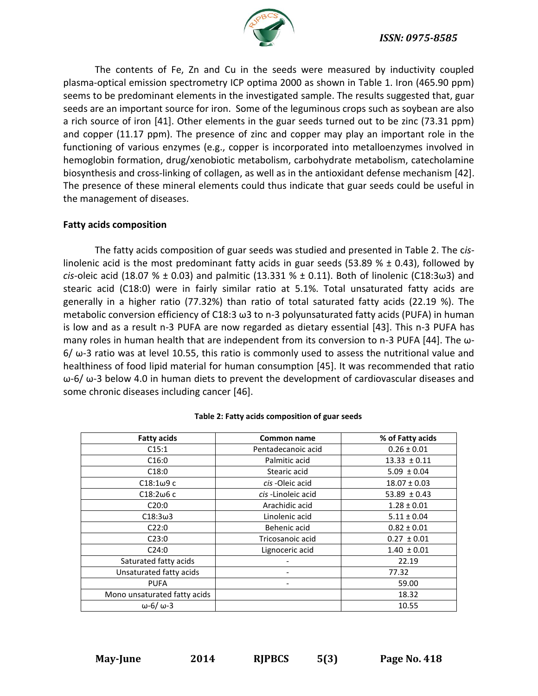

The contents of Fe, Zn and Cu in the seeds were measured by inductivity coupled plasma-optical emission spectrometry ICP optima 2000 as shown in Table 1. Iron (465.90 ppm) seems to be predominant elements in the investigated sample. The results suggested that, guar seeds are an important source for iron. Some of the leguminous crops such as soybean are also a rich source of iron [41]. Other elements in the guar seeds turned out to be zinc (73.31 ppm) and copper (11.17 ppm). The presence of zinc and copper may play an important role in the functioning of various enzymes (e.g., copper is incorporated into metalloenzymes involved in hemoglobin formation, drug/xenobiotic metabolism, carbohydrate metabolism, catecholamine biosynthesis and cross-linking of collagen, as well as in the antioxidant defense mechanism [42]. The presence of these mineral elements could thus indicate that guar seeds could be useful in the management of diseases.

## **Fatty acids composition**

The fatty acids composition of guar seeds was studied and presented in Table 2. The c*is*linolenic acid is the most predominant fatty acids in guar seeds (53.89  $% \pm 0.43$ ), followed by *cis*-oleic acid (18.07 % ± 0.03) and palmitic (13.331 % ± 0.11). Both of linolenic (C18:3ω3) and stearic acid (C18:0) were in fairly similar ratio at 5.1%. Total unsaturated fatty acids are generally in a higher ratio (77.32%) than ratio of total saturated fatty acids (22.19 %). The metabolic conversion efficiency of C18:3 ω3 to n-3 polyunsaturated fatty acids (PUFA) in human is low and as a result n-3 PUFA are now regarded as dietary essential [43]. This n-3 PUFA has many roles in human health that are independent from its conversion to n-3 PUFA [44]. The ω- $6/$  ω-3 ratio was at level 10.55, this ratio is commonly used to assess the nutritional value and healthiness of food lipid material for human consumption [45]. It was recommended that ratio  $ω$ -6/ $ω$ -3 below 4.0 in human diets to prevent the development of cardiovascular diseases and some chronic diseases including cancer [46].

| <b>Fatty acids</b>           | <b>Common name</b> | % of Fatty acids |
|------------------------------|--------------------|------------------|
| C15:1                        | Pentadecanoic acid | $0.26 \pm 0.01$  |
| C16:0                        | Palmitic acid      | $13.33 \pm 0.11$ |
| C18:0                        | Stearic acid       | $5.09 \pm 0.04$  |
| $C18:1\omega9c$              | cis -Oleic acid    | $18.07 \pm 0.03$ |
| $C18:2\omega$ 6 c            | cis-Linoleic acid  | $53.89 \pm 0.43$ |
| C20:0                        | Arachidic acid     | $1.28 \pm 0.01$  |
| $C18:3\omega3$               | Linolenic acid     | $5.11 \pm 0.04$  |
| C22:0                        | Behenic acid       | $0.82 \pm 0.01$  |
| C23:0                        | Tricosanoic acid   | $0.27 \pm 0.01$  |
| C24:0                        | Lignoceric acid    | $1.40 \pm 0.01$  |
| Saturated fatty acids        |                    | 22.19            |
| Unsaturated fatty acids      |                    | 77.32            |
| <b>PUFA</b>                  |                    | 59.00            |
| Mono unsaturated fatty acids |                    | 18.32            |
| $\omega$ -6/ $\omega$ -3     |                    | 10.55            |

#### **Table 2: Fatty acids composition of guar seeds**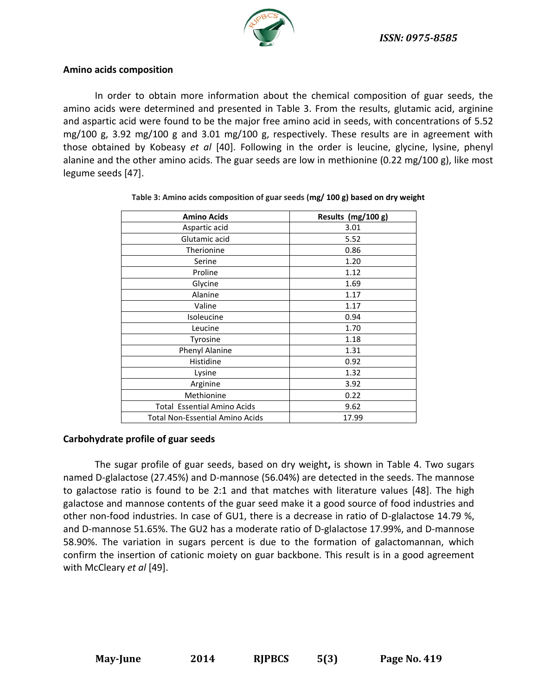

### **Amino acids composition**

In order to obtain more information about the chemical composition of guar seeds, the amino acids were determined and presented in Table 3. From the results, glutamic acid, arginine and aspartic acid were found to be the major free amino acid in seeds, with concentrations of 5.52 mg/100 g, 3.92 mg/100 g and 3.01 mg/100 g, respectively. These results are in agreement with those obtained by Kobeasy *et al* [40]. Following in the order is leucine, glycine, lysine, phenyl alanine and the other amino acids. The guar seeds are low in methionine (0.22 mg/100 g), like most legume seeds [47].

| <b>Amino Acids</b>                 | Results (mg/100 g) |
|------------------------------------|--------------------|
| Aspartic acid                      | 3.01               |
| Glutamic acid                      | 5.52               |
| Therionine                         | 0.86               |
| Serine                             | 1.20               |
| Proline                            | 1.12               |
| Glycine                            | 1.69               |
| Alanine                            | 1.17               |
| Valine                             | 1.17               |
| Isoleucine                         | 0.94               |
| Leucine                            | 1.70               |
| Tyrosine                           | 1.18               |
| Phenyl Alanine                     | 1.31               |
| Histidine                          | 0.92               |
| Lysine                             | 1.32               |
| Arginine                           | 3.92               |
| Methionine                         | 0.22               |
| <b>Total Essential Amino Acids</b> | 9.62               |
| Total Non-Essential Amino Acids    | 17.99              |

**Table 3: Amino acids composition of guar seeds (mg/ 100 g) based on dry weight**

## **Carbohydrate profile of guar seeds**

The sugar profile of guar seeds, based on dry weight**,** is shown in Table 4. Two sugars named D-glalactose (27.45%) and D-mannose (56.04%) are detected in the seeds. The mannose to galactose ratio is found to be 2:1 and that matches with literature values [48]. The high galactose and mannose contents of the guar seed make it a good source of food industries and other non-food industries. In case of GU1, there is a decrease in ratio of D-glalactose 14.79 %, and D-mannose 51.65%. The GU2 has a moderate ratio of D-glalactose 17.99%, and D-mannose 58.90%. The variation in sugars percent is due to the formation of galactomannan, which confirm the insertion of cationic moiety on guar backbone. This result is in a good agreement with McCleary *et al* [49].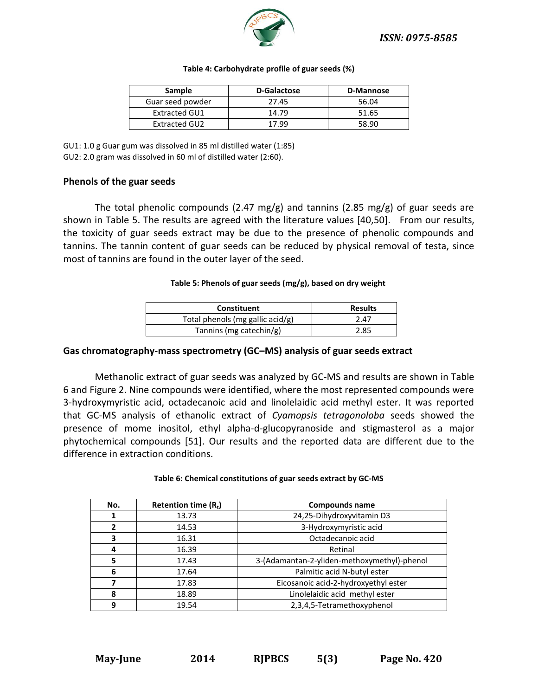

| <b>Sample</b>        | D-Galactose | D-Mannose |
|----------------------|-------------|-----------|
| Guar seed powder     | 27.45       | 56.04     |
| <b>Extracted GU1</b> | 14.79       | 51.65     |
| Extracted GU2        | 17.99       | 58.90     |

#### **Table 4: Carbohydrate profile of guar seeds (%)**

GU1: 1.0 g Guar gum was dissolved in 85 ml distilled water (1:85) GU2: 2.0 gram was dissolved in 60 ml of distilled water (2:60).

#### **Phenols of the guar seeds**

The total phenolic compounds (2.47 mg/g) and tannins (2.85 mg/g) of guar seeds are shown in Table 5. The results are agreed with the literature values [40,50]. From our results, the toxicity of guar seeds extract may be due to the presence of phenolic compounds and tannins. The tannin content of guar seeds can be reduced by physical removal of testa, since most of tannins are found in the outer layer of the seed.

#### **Table 5: Phenols of guar seeds (mg/g), based on dry weight**

| <b>Constituent</b>               | <b>Results</b> |
|----------------------------------|----------------|
| Total phenols (mg gallic acid/g) | 2.47           |
| Tannins (mg catechin/g)          | 2.85           |

#### **Gas chromatography-mass spectrometry (GC–MS) analysis of guar seeds extract**

Methanolic extract of guar seeds was analyzed by GC-MS and results are shown in Table 6 and Figure 2. Nine compounds were identified, where the most represented compounds were 3-hydroxymyristic acid, octadecanoic acid and linolelaidic acid methyl ester. It was reported that GC-MS analysis of ethanolic extract of *Cyamopsis tetragonoloba* seeds showed the presence of mome inositol, ethyl alpha-d-glucopyranoside and stigmasterol as a major phytochemical compounds [51]. Our results and the reported data are different due to the difference in extraction conditions.

#### **Table 6: Chemical constitutions of guar seeds extract by GC-MS**

| No. | Retention time $(R_t)$ | <b>Compounds name</b>                       |
|-----|------------------------|---------------------------------------------|
|     | 13.73                  | 24,25-Dihydroxyvitamin D3                   |
| 2   | 14.53                  | 3-Hydroxymyristic acid                      |
| 3   | 16.31                  | Octadecanoic acid                           |
| 4   | 16.39                  | Retinal                                     |
| 5   | 17.43                  | 3-(Adamantan-2-yliden-methoxymethyl)-phenol |
| 6   | 17.64                  | Palmitic acid N-butyl ester                 |
| 7   | 17.83                  | Eicosanoic acid-2-hydroxyethyl ester        |
| 8   | 18.89                  | Linolelaidic acid methyl ester              |
| 9   | 19.54                  | 2,3,4,5-Tetramethoxyphenol                  |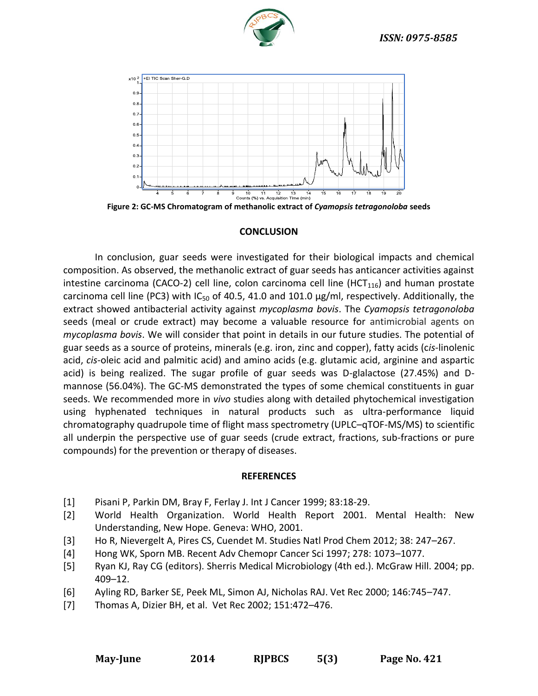



**Figure 2: GC-MS Chromatogram of methanolic extract of** *Cyamopsis tetragonoloba* **seeds**

#### **CONCLUSION**

In conclusion, guar seeds were investigated for their biological impacts and chemical composition. As observed, the methanolic extract of guar seeds has anticancer activities against intestine carcinoma (CACO-2) cell line, colon carcinoma cell line (HCT $_{116}$ ) and human prostate carcinoma cell line (PC3) with  $IC_{50}$  of 40.5, 41.0 and 101.0  $\mu$ g/ml, respectively. Additionally, the extract showed antibacterial activity against *mycoplasma bovis*. The *Cyamopsis tetragonoloba* seeds (meal or crude extract) may become a valuable resource for antimicrobial agents on *mycoplasma bovis*. We will consider that point in details in our future studies. The potential of guar seeds as a source of proteins, minerals (e.g. iron, zinc and copper), fatty acids (c*is*-linolenic acid, *cis*-oleic acid and palmitic acid) and amino acids (e.g. glutamic acid, arginine and aspartic acid) is being realized. The sugar profile of guar seeds was D-glalactose (27.45%) and Dmannose (56.04%). The GC-MS demonstrated the types of some chemical constituents in guar seeds. We recommended more in *vivo* studies along with detailed phytochemical investigation using hyphenated techniques in natural products such as ultra-performance liquid chromatography quadrupole time of flight mass spectrometry (UPLC–qTOF-MS/MS) to scientific all underpin the perspective use of guar seeds (crude extract, fractions, sub-fractions or pure compounds) for the prevention or therapy of diseases.

#### **REFERENCES**

- [1] Pisani P, Parkin DM, Bray F, Ferlay J. Int J Cancer 1999; 83:18-29.
- [2] World Health Organization. World Health Report 2001. Mental Health: New Understanding, New Hope. Geneva: WHO, 2001.
- [3] Ho R, Nievergelt A, Pires CS, Cuendet M. Studies Natl Prod Chem 2012; 38: 247–267.
- [4] Hong WK, Sporn MB. Recent Adv Chemopr Cancer Sci 1997; 278: 1073–1077.
- [5] Ryan KJ, Ray CG (editors). Sherris Medical Microbiology (4th ed.). McGraw Hill. 2004; pp. 409–12.
- [6] Ayling RD, Barker SE, Peek ML, Simon AJ, Nicholas RAJ. Vet Rec 2000; 146:745–747.
- [7] Thomas A, Dizier BH, et al. Vet Rec 2002; 151:472–476.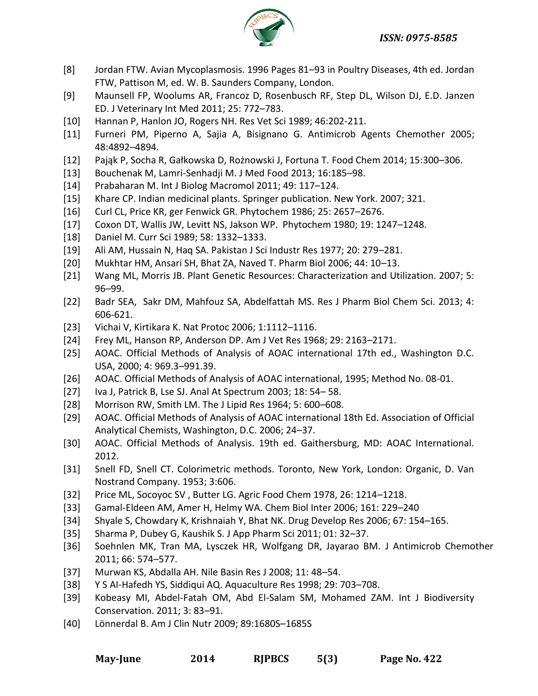*ISSN: 0975-8585*



- [8] Jordan FTW. Avian Mycoplasmosis. 1996 Pages 81–93 in Poultry Diseases, 4th ed. Jordan FTW, Pattison M, ed. W. B. Saunders Company, London.
- [9] Maunsell FP, Woolums AR, Francoz D, Rosenbusch RF, Step DL, Wilson DJ, E.D. Janzen ED. J Veterinary Int Med 2011; 25: 772–783.
- [10] Hannan P, Hanlon JO, Rogers NH. Res Vet Sci 1989; 46:202-211.
- [11] Furneri PM, Piperno A, Sajia A, Bisignano G. Antimicrob Agents Chemother 2005; 48:4892–4894.
- [12] Pająk P, Socha R, Gałkowska D, Rożnowski J, Fortuna T. Food Chem 2014; 15:300–306.
- [13] Bouchenak M, Lamri-Senhadji M. [J Med Food](http://www.ncbi.nlm.nih.gov/pubmed/23398387) 2013; 16:185–98.
- [14] Prabaharan M. Int J Biolog Macromol 2011; 49: 117–124.
- [15] Khare CP. Indian medicinal plants. Springer publication. New York. 2007; 321.
- [16] Curl CL, Price KR, ger Fenwick GR. Phytochem 1986; 25: 2657–2676.
- [17] Coxon DT, Wallis JW, Levitt NS, Jakson WP. Phytochem 1980; 19: 1247–1248.
- [18] Daniel M. Curr Sci 1989; 58: 1332–1333.
- [19] Ali AM, Hussain N, Haq SA. Pakistan J Sci Industr Res 1977; 20: 279–281.
- [20] Mukhtar HM, Ansari SH, Bhat ZA, Naved T. Pharm Biol 2006; 44: 10–13.
- [21] Wang ML, Morris JB. Plant Genetic Resources: Characterization and Utilization. 2007; 5: 96–99.
- [22] Badr SEA, Sakr DM, Mahfouz SA, Abdelfattah MS. Res J Pharm Biol Chem Sci. 2013; 4: 606-621.
- [23] Vichai V, Kirtikara K. Nat Protoc 2006; 1:1112–1116.
- [24] Frey ML, Hanson RP, Anderson DP. Am J Vet Res 1968; 29: 2163–2171.
- [25] AOAC. Official Methods of Analysis of AOAC international 17th ed., Washington D.C. USA, 2000; 4: 969.3–991.39.
- [26] AOAC. Official Methods of Analysis of AOAC international, 1995; Method No. 08-01.
- [27] Iva J, Patrick B, Lse SJ. Anal At Spectrum 2003; 18: 54– 58.
- [28] [Morrison](http://www.jlr.org/search?author1=William+R.+Morrison&sortspec=date&submit=Submit) RW[, Smith](http://www.jlr.org/search?author1=Lloyd+M.+Smith&sortspec=date&submit=Submit) LM. The J Lipid Res 1964; 5: 600–608.
- [29] AOAC. Official Methods of Analysis of AOAC international 18th Ed. Association of Official Analytical Chemists, Washington, D.C. 2006; 24–37.
- [30] AOAC. Official Methods of Analysis. 19th ed. Gaithersburg, MD: AOAC International. 2012.
- [31] Snell FD, Snell CT. Colorimetric methods. Toronto, New York, London: Organic, D. Van Nostrand Company. 1953; 3:606.
- [32] Price ML, Socoyoc SV , Butter LG. Agric Food Chem 1978, 26: 1214–1218.
- [33] Gamal-Eldeen AM, Amer H, Helmy WA. Chem Biol Inter 2006; 161: 229–240
- [34] Shyale S, Chowdary K, Krishnaiah Y, Bhat NK. Drug Develop Res 2006; 67: 154–165.
- [35] Sharma P, Dubey G, Kaushik S. J App Pharm Sci 2011; 01: 32–37.
- [36] Soehnlen MK, Tran MA, Lysczek HR, Wolfgang DR, Jayarao BM. J Antimicrob Chemother 2011; 66: 574–577.
- [37] Murwan KS, Abdalla AH. Nile Basin Res J 2008; 11: 48–54.
- [38] Y S AI-Hafedh YS, Siddiqui AQ. Aquaculture Res 1998; 29: 703–708.
- [39] Kobeasy MI, Abdel-Fatah OM, Abd El-Salam SM, Mohamed ZAM. Int J Biodiversity Conservation. 2011; 3: 83–91.
- [40] Lönnerdal B. Am J Clin Nutr 2009; 89:1680S–1685S